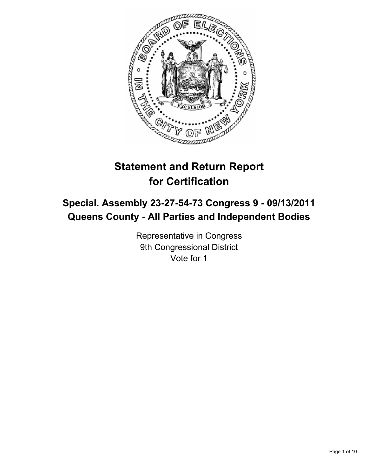

# **Statement and Return Report for Certification**

## **Special. Assembly 23-27-54-73 Congress 9 - 09/13/2011 Queens County - All Parties and Independent Bodies**

Representative in Congress 9th Congressional District Vote for 1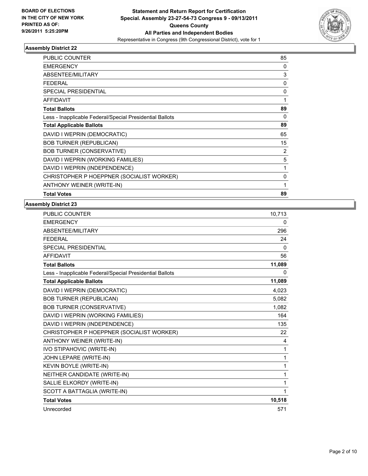

| <b>PUBLIC COUNTER</b>                                    | 85             |
|----------------------------------------------------------|----------------|
| <b>EMERGENCY</b>                                         | 0              |
| <b>ABSENTEE/MILITARY</b>                                 | 3              |
| <b>FEDERAL</b>                                           | 0              |
| <b>SPECIAL PRESIDENTIAL</b>                              | 0              |
| <b>AFFIDAVIT</b>                                         | 1              |
| <b>Total Ballots</b>                                     | 89             |
| Less - Inapplicable Federal/Special Presidential Ballots | $\mathbf 0$    |
| <b>Total Applicable Ballots</b>                          | 89             |
| DAVID I WEPRIN (DEMOCRATIC)                              | 65             |
| <b>BOB TURNER (REPUBLICAN)</b>                           | 15             |
| <b>BOB TURNER (CONSERVATIVE)</b>                         | $\overline{2}$ |
| DAVID I WEPRIN (WORKING FAMILIES)                        | 5              |
| DAVID I WEPRIN (INDEPENDENCE)                            | 1              |
| CHRISTOPHER P HOEPPNER (SOCIALIST WORKER)                | 0              |
| ANTHONY WEINER (WRITE-IN)                                | 1              |
| <b>Total Votes</b>                                       | 89             |

| <b>PUBLIC COUNTER</b>                                    | 10,713       |
|----------------------------------------------------------|--------------|
| <b>EMERGENCY</b>                                         | 0            |
| ABSENTEE/MILITARY                                        | 296          |
| <b>FEDERAL</b>                                           | 24           |
| <b>SPECIAL PRESIDENTIAL</b>                              | $\mathbf{0}$ |
| <b>AFFIDAVIT</b>                                         | 56           |
| <b>Total Ballots</b>                                     | 11,089       |
| Less - Inapplicable Federal/Special Presidential Ballots | 0            |
| <b>Total Applicable Ballots</b>                          | 11,089       |
| DAVID I WEPRIN (DEMOCRATIC)                              | 4,023        |
| <b>BOB TURNER (REPUBLICAN)</b>                           | 5,082        |
| <b>BOB TURNER (CONSERVATIVE)</b>                         | 1,082        |
| DAVID I WEPRIN (WORKING FAMILIES)                        | 164          |
| DAVID I WEPRIN (INDEPENDENCE)                            | 135          |
| CHRISTOPHER P HOEPPNER (SOCIALIST WORKER)                | 22           |
| ANTHONY WEINER (WRITE-IN)                                | 4            |
| IVO STIPAHOVIC (WRITE-IN)                                | 1            |
| JOHN LEPARE (WRITE-IN)                                   | 1            |
| KEVIN BOYLE (WRITE-IN)                                   | 1            |
| NEITHER CANDIDATE (WRITE-IN)                             | 1            |
| SALLIE ELKORDY (WRITE-IN)                                | 1            |
| SCOTT A BATTAGLIA (WRITE-IN)                             | 1            |
| <b>Total Votes</b>                                       | 10,518       |
| Unrecorded                                               | 571          |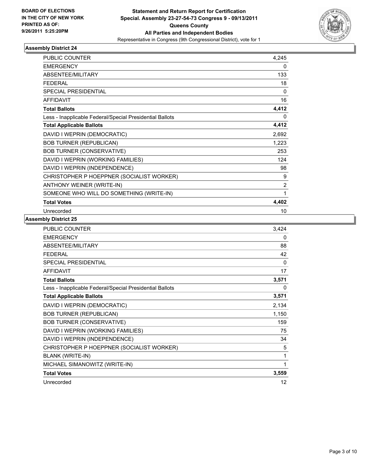

| <b>PUBLIC COUNTER</b>                                    | 4,245          |
|----------------------------------------------------------|----------------|
| <b>EMERGENCY</b>                                         | 0              |
| ABSENTEE/MILITARY                                        | 133            |
| <b>FEDERAL</b>                                           | 18             |
| <b>SPECIAL PRESIDENTIAL</b>                              | $\Omega$       |
| <b>AFFIDAVIT</b>                                         | 16             |
| <b>Total Ballots</b>                                     | 4,412          |
| Less - Inapplicable Federal/Special Presidential Ballots | 0              |
| <b>Total Applicable Ballots</b>                          | 4,412          |
| DAVID I WEPRIN (DEMOCRATIC)                              | 2,692          |
| <b>BOB TURNER (REPUBLICAN)</b>                           | 1,223          |
| <b>BOB TURNER (CONSERVATIVE)</b>                         | 253            |
| DAVID I WEPRIN (WORKING FAMILIES)                        | 124            |
| DAVID I WEPRIN (INDEPENDENCE)                            | 98             |
| CHRISTOPHER P HOEPPNER (SOCIALIST WORKER)                | 9              |
| ANTHONY WEINER (WRITE-IN)                                | $\overline{2}$ |
| SOMEONE WHO WILL DO SOMETHING (WRITE-IN)                 | 1              |
| <b>Total Votes</b>                                       | 4,402          |
| Unrecorded                                               | 10             |

| <b>PUBLIC COUNTER</b>                                    | 3,424 |
|----------------------------------------------------------|-------|
| <b>EMERGENCY</b>                                         | 0     |
| <b>ABSENTEE/MILITARY</b>                                 | 88    |
| <b>FEDERAL</b>                                           | 42    |
| <b>SPECIAL PRESIDENTIAL</b>                              | 0     |
| <b>AFFIDAVIT</b>                                         | 17    |
| <b>Total Ballots</b>                                     | 3,571 |
| Less - Inapplicable Federal/Special Presidential Ballots | 0     |
| <b>Total Applicable Ballots</b>                          | 3,571 |
| DAVID I WEPRIN (DEMOCRATIC)                              | 2,134 |
| <b>BOB TURNER (REPUBLICAN)</b>                           | 1,150 |
| <b>BOB TURNER (CONSERVATIVE)</b>                         | 159   |
| DAVID I WEPRIN (WORKING FAMILIES)                        | 75    |
| DAVID I WEPRIN (INDEPENDENCE)                            | 34    |
| CHRISTOPHER P HOEPPNER (SOCIALIST WORKER)                | 5     |
| BLANK (WRITE-IN)                                         | 1     |
| MICHAEL SIMANOWITZ (WRITE-IN)                            | 1     |
| <b>Total Votes</b>                                       | 3,559 |
| Unrecorded                                               | 12    |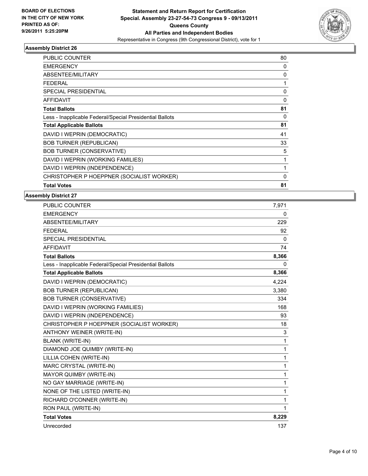

| <b>PUBLIC COUNTER</b>                                    | 80           |
|----------------------------------------------------------|--------------|
| <b>EMERGENCY</b>                                         | 0            |
| ABSENTEE/MILITARY                                        | 0            |
| <b>FEDERAL</b>                                           | 1            |
| <b>SPECIAL PRESIDENTIAL</b>                              | 0            |
| <b>AFFIDAVIT</b>                                         | $\mathbf{0}$ |
| <b>Total Ballots</b>                                     | 81           |
| Less - Inapplicable Federal/Special Presidential Ballots | 0            |
| <b>Total Applicable Ballots</b>                          | 81           |
| DAVID I WEPRIN (DEMOCRATIC)                              | 41           |
| <b>BOB TURNER (REPUBLICAN)</b>                           | 33           |
| <b>BOB TURNER (CONSERVATIVE)</b>                         | 5            |
| DAVID I WEPRIN (WORKING FAMILIES)                        | 1            |
| DAVID I WEPRIN (INDEPENDENCE)                            | $\mathbf{1}$ |
| CHRISTOPHER P HOEPPNER (SOCIALIST WORKER)                | 0            |
| <b>Total Votes</b>                                       | 81           |

| PUBLIC COUNTER                                           | 7,971        |
|----------------------------------------------------------|--------------|
| <b>EMERGENCY</b>                                         | $\mathbf{0}$ |
| ABSENTEE/MILITARY                                        | 229          |
| <b>FEDERAL</b>                                           | 92           |
| <b>SPECIAL PRESIDENTIAL</b>                              | $\mathbf{0}$ |
| <b>AFFIDAVIT</b>                                         | 74           |
| <b>Total Ballots</b>                                     | 8,366        |
| Less - Inapplicable Federal/Special Presidential Ballots | 0            |
| <b>Total Applicable Ballots</b>                          | 8,366        |
| DAVID I WEPRIN (DEMOCRATIC)                              | 4,224        |
| <b>BOB TURNER (REPUBLICAN)</b>                           | 3,380        |
| <b>BOB TURNER (CONSERVATIVE)</b>                         | 334          |
| DAVID I WEPRIN (WORKING FAMILIES)                        | 168          |
| DAVID I WEPRIN (INDEPENDENCE)                            | 93           |
| CHRISTOPHER P HOEPPNER (SOCIALIST WORKER)                | 18           |
| ANTHONY WEINER (WRITE-IN)                                | 3            |
| <b>BLANK (WRITE-IN)</b>                                  | 1            |
| DIAMOND JOE QUIMBY (WRITE-IN)                            | 1            |
| LILLIA COHEN (WRITE-IN)                                  | 1            |
| MARC CRYSTAL (WRITE-IN)                                  | 1            |
| MAYOR QUIMBY (WRITE-IN)                                  | 1            |
| NO GAY MARRIAGE (WRITE-IN)                               | 1            |
| NONE OF THE LISTED (WRITE-IN)                            | 1            |
| RICHARD O'CONNER (WRITE-IN)                              | 1            |
| RON PAUL (WRITE-IN)                                      | 1            |
| <b>Total Votes</b>                                       | 8,229        |
| Unrecorded                                               | 137          |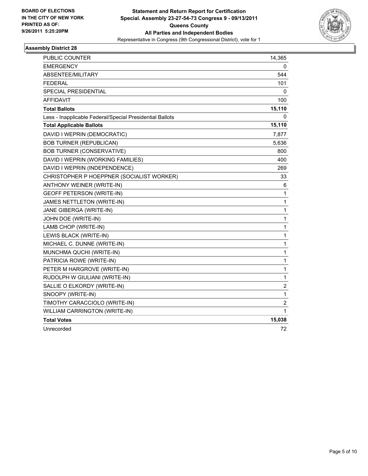

| <b>PUBLIC COUNTER</b>                                    | 14,365         |
|----------------------------------------------------------|----------------|
| <b>EMERGENCY</b>                                         | 0              |
| ABSENTEE/MILITARY                                        | 544            |
| <b>FEDERAL</b>                                           | 101            |
| <b>SPECIAL PRESIDENTIAL</b>                              | 0              |
| <b>AFFIDAVIT</b>                                         | 100            |
| <b>Total Ballots</b>                                     | 15,110         |
| Less - Inapplicable Federal/Special Presidential Ballots | 0              |
| <b>Total Applicable Ballots</b>                          | 15,110         |
| DAVID I WEPRIN (DEMOCRATIC)                              | 7,877          |
| <b>BOB TURNER (REPUBLICAN)</b>                           | 5,636          |
| <b>BOB TURNER (CONSERVATIVE)</b>                         | 800            |
| DAVID I WEPRIN (WORKING FAMILIES)                        | 400            |
| DAVID I WEPRIN (INDEPENDENCE)                            | 269            |
| CHRISTOPHER P HOEPPNER (SOCIALIST WORKER)                | 33             |
| ANTHONY WEINER (WRITE-IN)                                | 6              |
| <b>GEOFF PETERSON (WRITE-IN)</b>                         | 1              |
| JAMES NETTLETON (WRITE-IN)                               | 1              |
| JANE GIBERGA (WRITE-IN)                                  | 1              |
| JOHN DOE (WRITE-IN)                                      | 1              |
| LAMB CHOP (WRITE-IN)                                     | 1              |
| LEWIS BLACK (WRITE-IN)                                   | 1              |
| MICHAEL C. DUNNE (WRITE-IN)                              | 1              |
| MUNCHMA QUCHI (WRITE-IN)                                 | 1              |
| PATRICIA ROWE (WRITE-IN)                                 | 1              |
| PETER M HARGROVE (WRITE-IN)                              | 1              |
| RUDOLPH W GIULIANI (WRITE-IN)                            | $\mathbf 1$    |
| SALLIE O ELKORDY (WRITE-IN)                              | $\overline{2}$ |
| SNOOPY (WRITE-IN)                                        | 1              |
| TIMOTHY CARACCIOLO (WRITE-IN)                            | 2              |
| WILLIAM CARRINGTON (WRITE-IN)                            | 1              |
| <b>Total Votes</b>                                       | 15,038         |
| Unrecorded                                               | 72             |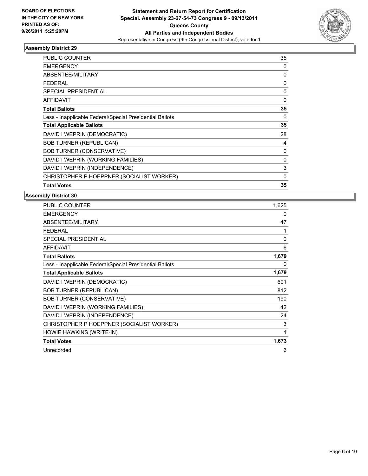

| <b>PUBLIC COUNTER</b>                                    | 35           |
|----------------------------------------------------------|--------------|
| <b>EMERGENCY</b>                                         | 0            |
| ABSENTEE/MILITARY                                        | 0            |
| <b>FEDERAL</b>                                           | 0            |
| SPECIAL PRESIDENTIAL                                     | $\mathbf{0}$ |
| <b>AFFIDAVIT</b>                                         | 0            |
| <b>Total Ballots</b>                                     | 35           |
| Less - Inapplicable Federal/Special Presidential Ballots | 0            |
| <b>Total Applicable Ballots</b>                          | 35           |
| DAVID I WEPRIN (DEMOCRATIC)                              | 28           |
| <b>BOB TURNER (REPUBLICAN)</b>                           | 4            |
| <b>BOB TURNER (CONSERVATIVE)</b>                         | 0            |
| DAVID I WEPRIN (WORKING FAMILIES)                        | $\mathbf{0}$ |
| DAVID I WEPRIN (INDEPENDENCE)                            | 3            |
| CHRISTOPHER P HOEPPNER (SOCIALIST WORKER)                | 0            |
| <b>Total Votes</b>                                       | 35           |

| PUBLIC COUNTER                                           | 1,625        |
|----------------------------------------------------------|--------------|
| <b>EMERGENCY</b>                                         | 0            |
| <b>ABSENTEE/MILITARY</b>                                 | 47           |
| <b>FEDERAL</b>                                           | 1            |
| SPECIAL PRESIDENTIAL                                     | $\mathbf{0}$ |
| <b>AFFIDAVIT</b>                                         | 6            |
| <b>Total Ballots</b>                                     | 1,679        |
| Less - Inapplicable Federal/Special Presidential Ballots | 0            |
| <b>Total Applicable Ballots</b>                          | 1,679        |
| DAVID I WEPRIN (DEMOCRATIC)                              | 601          |
| <b>BOB TURNER (REPUBLICAN)</b>                           | 812          |
| <b>BOB TURNER (CONSERVATIVE)</b>                         | 190          |
| DAVID I WEPRIN (WORKING FAMILIES)                        | 42           |
| DAVID I WEPRIN (INDEPENDENCE)                            | 24           |
| CHRISTOPHER P HOEPPNER (SOCIALIST WORKER)                | 3            |
| HOWIE HAWKINS (WRITE-IN)                                 | 1            |
| <b>Total Votes</b>                                       | 1,673        |
| Unrecorded                                               | 6            |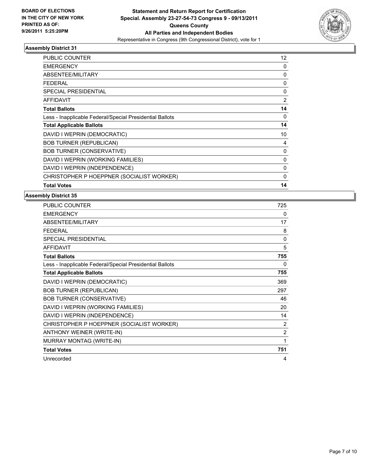

| <b>PUBLIC COUNTER</b>                                    | 12       |
|----------------------------------------------------------|----------|
| EMERGENCY                                                | 0        |
| ABSENTEE/MILITARY                                        | 0        |
| <b>FEDERAL</b>                                           | 0        |
| <b>SPECIAL PRESIDENTIAL</b>                              | 0        |
| <b>AFFIDAVIT</b>                                         | 2        |
| <b>Total Ballots</b>                                     | 14       |
| Less - Inapplicable Federal/Special Presidential Ballots | 0        |
| <b>Total Applicable Ballots</b>                          | 14       |
| DAVID I WEPRIN (DEMOCRATIC)                              | 10       |
| <b>BOB TURNER (REPUBLICAN)</b>                           | 4        |
| <b>BOB TURNER (CONSERVATIVE)</b>                         | 0        |
| DAVID I WEPRIN (WORKING FAMILIES)                        | 0        |
| DAVID I WEPRIN (INDEPENDENCE)                            | 0        |
| CHRISTOPHER P HOEPPNER (SOCIALIST WORKER)                | $\Omega$ |
| <b>Total Votes</b>                                       | 14       |

| <b>PUBLIC COUNTER</b>                                    | 725            |
|----------------------------------------------------------|----------------|
| <b>EMERGENCY</b>                                         | 0              |
| ABSENTEE/MILITARY                                        | 17             |
| <b>FEDERAL</b>                                           | 8              |
| <b>SPECIAL PRESIDENTIAL</b>                              | $\mathbf{0}$   |
| <b>AFFIDAVIT</b>                                         | 5              |
| <b>Total Ballots</b>                                     | 755            |
| Less - Inapplicable Federal/Special Presidential Ballots | 0              |
| <b>Total Applicable Ballots</b>                          | 755            |
| DAVID I WEPRIN (DEMOCRATIC)                              | 369            |
| <b>BOB TURNER (REPUBLICAN)</b>                           | 297            |
| <b>BOB TURNER (CONSERVATIVE)</b>                         | 46             |
| DAVID I WEPRIN (WORKING FAMILIES)                        | 20             |
| DAVID I WEPRIN (INDEPENDENCE)                            | 14             |
| CHRISTOPHER P HOEPPNER (SOCIALIST WORKER)                | $\overline{2}$ |
| ANTHONY WEINER (WRITE-IN)                                | $\overline{2}$ |
| MURRAY MONTAG (WRITE-IN)                                 | 1              |
| <b>Total Votes</b>                                       | 751            |
| Unrecorded                                               | 4              |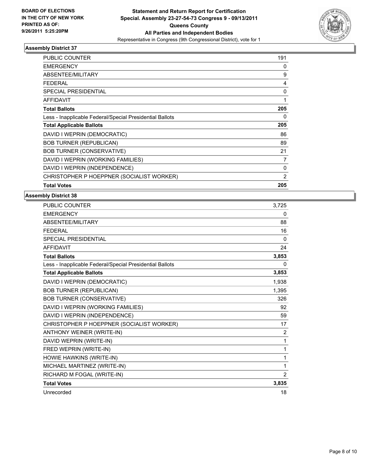

| PUBLIC COUNTER                                           | 191 |
|----------------------------------------------------------|-----|
| <b>EMERGENCY</b>                                         | 0   |
| ABSENTEE/MILITARY                                        | 9   |
| <b>FEDERAL</b>                                           | 4   |
| <b>SPECIAL PRESIDENTIAL</b>                              | 0   |
| <b>AFFIDAVIT</b>                                         | 1   |
| <b>Total Ballots</b>                                     | 205 |
| Less - Inapplicable Federal/Special Presidential Ballots | 0   |
| <b>Total Applicable Ballots</b>                          | 205 |
| DAVID I WEPRIN (DEMOCRATIC)                              | 86  |
| <b>BOB TURNER (REPUBLICAN)</b>                           | 89  |
| <b>BOB TURNER (CONSERVATIVE)</b>                         | 21  |
| DAVID I WEPRIN (WORKING FAMILIES)                        | 7   |
| DAVID I WEPRIN (INDEPENDENCE)                            | 0   |
| CHRISTOPHER P HOEPPNER (SOCIALIST WORKER)                | 2   |
| <b>Total Votes</b>                                       | 205 |

| PUBLIC COUNTER                                           | 3,725        |
|----------------------------------------------------------|--------------|
| <b>EMERGENCY</b>                                         | 0            |
| ABSENTEE/MILITARY                                        | 88           |
| <b>FEDERAL</b>                                           | 16           |
| <b>SPECIAL PRESIDENTIAL</b>                              | $\mathbf{0}$ |
| <b>AFFIDAVIT</b>                                         | 24           |
| <b>Total Ballots</b>                                     | 3,853        |
| Less - Inapplicable Federal/Special Presidential Ballots | 0            |
| <b>Total Applicable Ballots</b>                          | 3,853        |
| DAVID I WEPRIN (DEMOCRATIC)                              | 1,938        |
| <b>BOB TURNER (REPUBLICAN)</b>                           | 1,395        |
| <b>BOB TURNER (CONSERVATIVE)</b>                         | 326          |
| DAVID I WEPRIN (WORKING FAMILIES)                        | 92           |
| DAVID I WEPRIN (INDEPENDENCE)                            | 59           |
| CHRISTOPHER P HOEPPNER (SOCIALIST WORKER)                | 17           |
| ANTHONY WEINER (WRITE-IN)                                | 2            |
| DAVID WEPRIN (WRITE-IN)                                  | 1            |
| FRED WEPRIN (WRITE-IN)                                   | 1            |
| HOWIE HAWKINS (WRITE-IN)                                 | 1            |
| MICHAEL MARTINEZ (WRITE-IN)                              | 1            |
| RICHARD M FOGAL (WRITE-IN)                               | 2            |
| <b>Total Votes</b>                                       | 3,835        |
| Unrecorded                                               | 18           |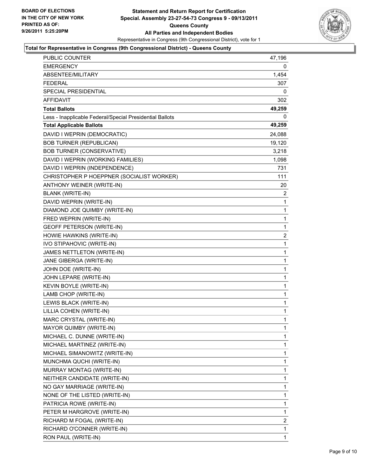

## **Total for Representative in Congress (9th Congressional District) - Queens County**

| PUBLIC COUNTER                                           | 47,196         |
|----------------------------------------------------------|----------------|
| EMERGENCY                                                | 0              |
| ABSENTEE/MILITARY                                        | 1,454          |
| FEDERAL                                                  | 307            |
| <b>SPECIAL PRESIDENTIAL</b>                              | 0              |
| <b>AFFIDAVIT</b>                                         | 302            |
| <b>Total Ballots</b>                                     | 49,259         |
| Less - Inapplicable Federal/Special Presidential Ballots | $\Omega$       |
| <b>Total Applicable Ballots</b>                          | 49,259         |
| DAVID I WEPRIN (DEMOCRATIC)                              | 24,088         |
| <b>BOB TURNER (REPUBLICAN)</b>                           | 19,120         |
| <b>BOB TURNER (CONSERVATIVE)</b>                         | 3,218          |
| DAVID I WEPRIN (WORKING FAMILIES)                        | 1,098          |
| DAVID I WEPRIN (INDEPENDENCE)                            | 731            |
| CHRISTOPHER P HOEPPNER (SOCIALIST WORKER)                | 111            |
| ANTHONY WEINER (WRITE-IN)                                | 20             |
| <b>BLANK (WRITE-IN)</b>                                  | 2              |
| DAVID WEPRIN (WRITE-IN)                                  | 1              |
| DIAMOND JOE QUIMBY (WRITE-IN)                            | 1              |
| FRED WEPRIN (WRITE-IN)                                   | 1              |
| <b>GEOFF PETERSON (WRITE-IN)</b>                         | 1              |
| HOWIE HAWKINS (WRITE-IN)                                 | $\overline{c}$ |
| IVO STIPAHOVIC (WRITE-IN)                                | 1              |
| JAMES NETTLETON (WRITE-IN)                               | 1              |
| JANE GIBERGA (WRITE-IN)                                  | 1              |
| JOHN DOE (WRITE-IN)                                      | 1              |
| JOHN LEPARE (WRITE-IN)                                   | 1              |
| KEVIN BOYLE (WRITE-IN)                                   | 1              |
| LAMB CHOP (WRITE-IN)                                     | 1              |
| LEWIS BLACK (WRITE-IN)                                   | 1              |
| LILLIA COHEN (WRITE-IN)                                  | $\mathbf{1}$   |
| <b>MARC CRYSTAL (WRITE-IN)</b>                           | 1              |
| MAYOR QUIMBY (WRITE-IN)                                  | 1              |
| MICHAEL C. DUNNE (WRITE-IN)                              | 1              |
| MICHAEL MARTINEZ (WRITE-IN)                              | 1              |
| MICHAEL SIMANOWITZ (WRITE-IN)                            | 1              |
| MUNCHMA QUCHI (WRITE-IN)                                 | 1              |
| MURRAY MONTAG (WRITE-IN)                                 | 1              |
| NEITHER CANDIDATE (WRITE-IN)                             | 1              |
| NO GAY MARRIAGE (WRITE-IN)                               | 1              |
| NONE OF THE LISTED (WRITE-IN)                            | 1              |
| PATRICIA ROWE (WRITE-IN)                                 | 1              |
| PETER M HARGROVE (WRITE-IN)                              | 1              |
| RICHARD M FOGAL (WRITE-IN)                               | 2              |
| RICHARD O'CONNER (WRITE-IN)                              | 1              |
| RON PAUL (WRITE-IN)                                      | 1              |
|                                                          |                |